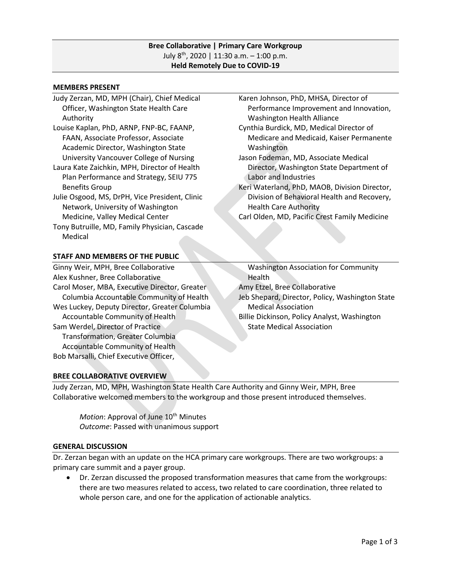## **Bree Collaborative | Primary Care Workgroup** July 8 th, 2020 | 11:30 a.m. – 1:00 p.m. **Held Remotely Due to COVID-19**

#### **MEMBERS PRESENT**

- Judy Zerzan, MD, MPH (Chair), Chief Medical Officer, Washington State Health Care Authority
- Louise Kaplan, PhD, ARNP, FNP-BC, FAANP, FAAN, Associate Professor, Associate Academic Director, Washington State University Vancouver College of Nursing
- Laura Kate Zaichkin, MPH, Director of Health Plan Performance and Strategy, SEIU 775 Benefits Group
- Julie Osgood, MS, DrPH, Vice President, Clinic Network, University of Washington Medicine, Valley Medical Center
- Tony Butruille, MD, Family Physician, Cascade Medical

# **STAFF AND MEMBERS OF THE PUBLIC**

Ginny Weir, MPH, Bree Collaborative Alex Kushner, Bree Collaborative Carol Moser, MBA, Executive Director, Greater Columbia Accountable Community of Health Wes Luckey, Deputy Director, Greater Columbia Accountable Community of Health Sam Werdel, Director of Practice Transformation, Greater Columbia Accountable Community of Health Bob Marsalli, Chief Executive Officer,

- Karen Johnson, PhD, MHSA, Director of Performance Improvement and Innovation, Washington Health Alliance
- Cynthia Burdick, MD, Medical Director of Medicare and Medicaid, Kaiser Permanente Washington
- Jason Fodeman, MD, Associate Medical Director, Washington State Department of Labor and Industries
- Keri Waterland, PhD, MAOB, Division Director, Division of Behavioral Health and Recovery, Health Care Authority
- Carl Olden, MD, Pacific Crest Family Medicine

 Washington Association for Community **Health** Amy Etzel, Bree Collaborative Jeb Shepard, Director, Policy, Washington State Medical Association Billie Dickinson, Policy Analyst, Washington State Medical Association

## **BREE COLLABORATIVE OVERVIEW**

Judy Zerzan, MD, MPH, Washington State Health Care Authority and Ginny Weir, MPH, Bree Collaborative welcomed members to the workgroup and those present introduced themselves.

Motion: Approval of June 10<sup>th</sup> Minutes *Outcome*: Passed with unanimous support

#### **GENERAL DISCUSSION**

Dr. Zerzan began with an update on the HCA primary care workgroups. There are two workgroups: a primary care summit and a payer group.

• Dr. Zerzan discussed the proposed transformation measures that came from the workgroups: there are two measures related to access, two related to care coordination, three related to whole person care, and one for the application of actionable analytics.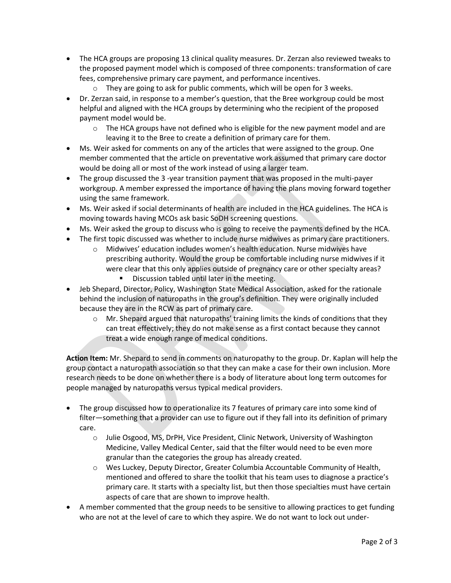- The HCA groups are proposing 13 clinical quality measures. Dr. Zerzan also reviewed tweaks to the proposed payment model which is composed of three components: transformation of care fees, comprehensive primary care payment, and performance incentives.
	- o They are going to ask for public comments, which will be open for 3 weeks.
- Dr. Zerzan said, in response to a member's question, that the Bree workgroup could be most helpful and aligned with the HCA groups by determining who the recipient of the proposed payment model would be.
	- $\circ$  The HCA groups have not defined who is eligible for the new payment model and are leaving it to the Bree to create a definition of primary care for them.
- Ms. Weir asked for comments on any of the articles that were assigned to the group. One member commented that the article on preventative work assumed that primary care doctor would be doing all or most of the work instead of using a larger team.
- The group discussed the 3 -year transition payment that was proposed in the multi-payer workgroup. A member expressed the importance of having the plans moving forward together using the same framework.
- Ms. Weir asked if social determinants of health are included in the HCA guidelines. The HCA is moving towards having MCOs ask basic SoDH screening questions.
- Ms. Weir asked the group to discuss who is going to receive the payments defined by the HCA.
- The first topic discussed was whether to include nurse midwives as primary care practitioners.
	- o Midwives' education includes women's health education. Nurse midwives have prescribing authority. Would the group be comfortable including nurse midwives if it were clear that this only applies outside of pregnancy care or other specialty areas?
		- Discussion tabled until later in the meeting.
- Jeb Shepard, Director, Policy, Washington State Medical Association, asked for the rationale behind the inclusion of naturopaths in the group's definition. They were originally included because they are in the RCW as part of primary care.
	- $\circ$  Mr. Shepard argued that naturopaths' training limits the kinds of conditions that they can treat effectively; they do not make sense as a first contact because they cannot treat a wide enough range of medical conditions.

**Action Item:** Mr. Shepard to send in comments on naturopathy to the group. Dr. Kaplan will help the group contact a naturopath association so that they can make a case for their own inclusion. More research needs to be done on whether there is a body of literature about long term outcomes for people managed by naturopaths versus typical medical providers.

- The group discussed how to operationalize its 7 features of primary care into some kind of filter—something that a provider can use to figure out if they fall into its definition of primary care.
	- o Julie Osgood, MS, DrPH, Vice President, Clinic Network, University of Washington Medicine, Valley Medical Center, said that the filter would need to be even more granular than the categories the group has already created.
	- o Wes Luckey, Deputy Director, Greater Columbia Accountable Community of Health, mentioned and offered to share the toolkit that his team uses to diagnose a practice's primary care. It starts with a specialty list, but then those specialties must have certain aspects of care that are shown to improve health.
- A member commented that the group needs to be sensitive to allowing practices to get funding who are not at the level of care to which they aspire. We do not want to lock out under-